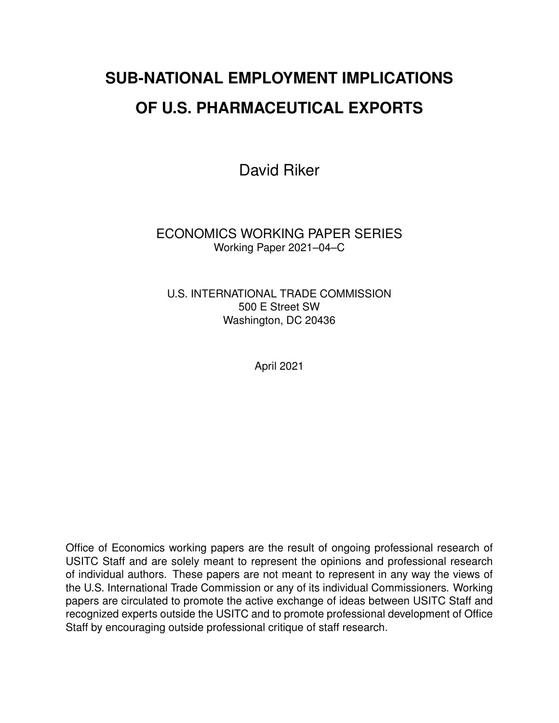# **SUB-NATIONAL EMPLOYMENT IMPLICATIONS OF U.S. PHARMACEUTICAL EXPORTS**

David Riker

ECONOMICS WORKING PAPER SERIES Working Paper 2021–04–C

U.S. INTERNATIONAL TRADE COMMISSION 500 E Street SW Washington, DC 20436

April 2021

Office of Economics working papers are the result of ongoing professional research of USITC Staff and are solely meant to represent the opinions and professional research of individual authors. These papers are not meant to represent in any way the views of the U.S. International Trade Commission or any of its individual Commissioners. Working papers are circulated to promote the active exchange of ideas between USITC Staff and recognized experts outside the USITC and to promote professional development of Office Staff by encouraging outside professional critique of staff research.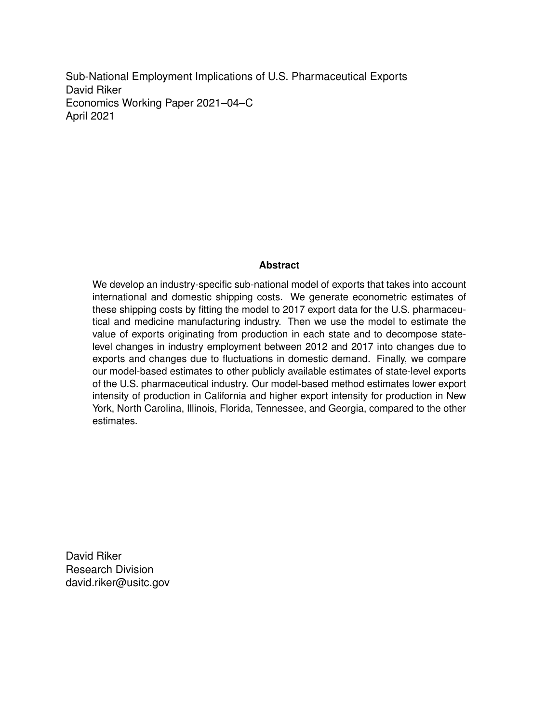Sub-National Employment Implications of U.S. Pharmaceutical Exports David Riker Economics Working Paper 2021–04–C April 2021

#### **Abstract**

We develop an industry-specific sub-national model of exports that takes into account international and domestic shipping costs. We generate econometric estimates of these shipping costs by fitting the model to 2017 export data for the U.S. pharmaceutical and medicine manufacturing industry. Then we use the model to estimate the value of exports originating from production in each state and to decompose statelevel changes in industry employment between 2012 and 2017 into changes due to exports and changes due to fluctuations in domestic demand. Finally, we compare our model-based estimates to other publicly available estimates of state-level exports of the U.S. pharmaceutical industry. Our model-based method estimates lower export intensity of production in California and higher export intensity for production in New York, North Carolina, Illinois, Florida, Tennessee, and Georgia, compared to the other estimates.

David Riker Research Division david.riker@usitc.gov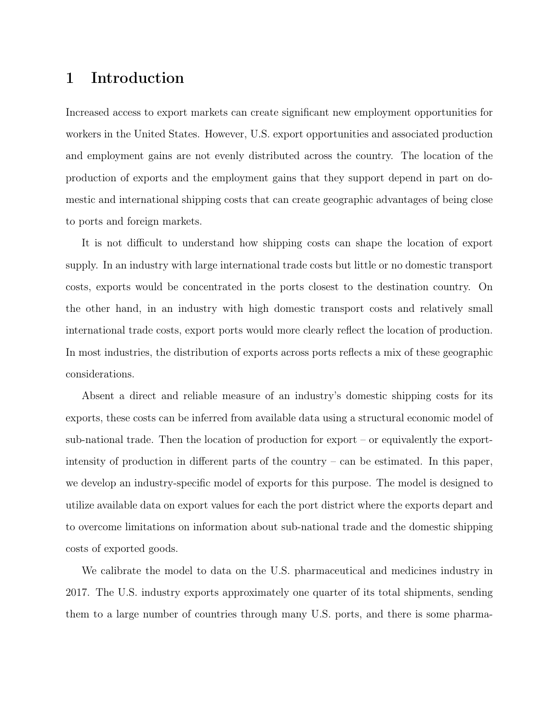## 1 Introduction

Increased access to export markets can create significant new employment opportunities for workers in the United States. However, U.S. export opportunities and associated production and employment gains are not evenly distributed across the country. The location of the production of exports and the employment gains that they support depend in part on domestic and international shipping costs that can create geographic advantages of being close to ports and foreign markets.

It is not difficult to understand how shipping costs can shape the location of export supply. In an industry with large international trade costs but little or no domestic transport costs, exports would be concentrated in the ports closest to the destination country. On the other hand, in an industry with high domestic transport costs and relatively small international trade costs, export ports would more clearly reflect the location of production. In most industries, the distribution of exports across ports reflects a mix of these geographic considerations.

Absent a direct and reliable measure of an industry's domestic shipping costs for its exports, these costs can be inferred from available data using a structural economic model of sub-national trade. Then the location of production for  $\alpha$  export – or equivalently the exportintensity of production in different parts of the country – can be estimated. In this paper, we develop an industry-specific model of exports for this purpose. The model is designed to utilize available data on export values for each the port district where the exports depart and to overcome limitations on information about sub-national trade and the domestic shipping costs of exported goods.

We calibrate the model to data on the U.S. pharmaceutical and medicines industry in 2017. The U.S. industry exports approximately one quarter of its total shipments, sending them to a large number of countries through many U.S. ports, and there is some pharma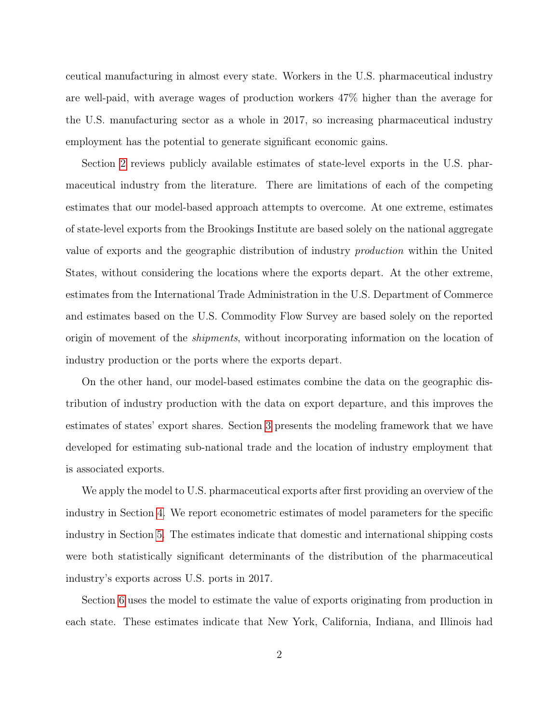ceutical manufacturing in almost every state. Workers in the U.S. pharmaceutical industry are well-paid, with average wages of production workers 47% higher than the average for the U.S. manufacturing sector as a whole in 2017, so increasing pharmaceutical industry employment has the potential to generate significant economic gains.

Section [2](#page-4-0) reviews publicly available estimates of state-level exports in the U.S. pharmaceutical industry from the literature. There are limitations of each of the competing estimates that our model-based approach attempts to overcome. At one extreme, estimates of state-level exports from the Brookings Institute are based solely on the national aggregate value of exports and the geographic distribution of industry production within the United States, without considering the locations where the exports depart. At the other extreme, estimates from the International Trade Administration in the U.S. Department of Commerce and estimates based on the U.S. Commodity Flow Survey are based solely on the reported origin of movement of the shipments, without incorporating information on the location of industry production or the ports where the exports depart.

On the other hand, our model-based estimates combine the data on the geographic distribution of industry production with the data on export departure, and this improves the estimates of states' export shares. Section [3](#page-7-0) presents the modeling framework that we have developed for estimating sub-national trade and the location of industry employment that is associated exports.

We apply the model to U.S. pharmaceutical exports after first providing an overview of the industry in Section [4.](#page-9-0) We report econometric estimates of model parameters for the specific industry in Section [5.](#page-11-0) The estimates indicate that domestic and international shipping costs were both statistically significant determinants of the distribution of the pharmaceutical industry's exports across U.S. ports in 2017.

Section [6](#page-15-0) uses the model to estimate the value of exports originating from production in each state. These estimates indicate that New York, California, Indiana, and Illinois had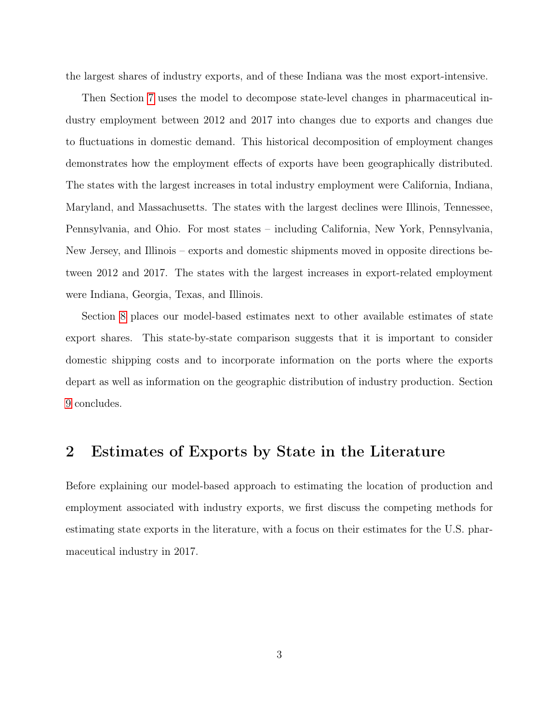the largest shares of industry exports, and of these Indiana was the most export-intensive.

Then Section [7](#page-16-0) uses the model to decompose state-level changes in pharmaceutical industry employment between 2012 and 2017 into changes due to exports and changes due to fluctuations in domestic demand. This historical decomposition of employment changes demonstrates how the employment effects of exports have been geographically distributed. The states with the largest increases in total industry employment were California, Indiana, Maryland, and Massachusetts. The states with the largest declines were Illinois, Tennessee, Pennsylvania, and Ohio. For most states – including California, New York, Pennsylvania, New Jersey, and Illinois – exports and domestic shipments moved in opposite directions between 2012 and 2017. The states with the largest increases in export-related employment were Indiana, Georgia, Texas, and Illinois.

Section [8](#page-18-0) places our model-based estimates next to other available estimates of state export shares. This state-by-state comparison suggests that it is important to consider domestic shipping costs and to incorporate information on the ports where the exports depart as well as information on the geographic distribution of industry production. Section [9](#page-21-0) concludes.

#### <span id="page-4-0"></span>2 Estimates of Exports by State in the Literature

Before explaining our model-based approach to estimating the location of production and employment associated with industry exports, we first discuss the competing methods for estimating state exports in the literature, with a focus on their estimates for the U.S. pharmaceutical industry in 2017.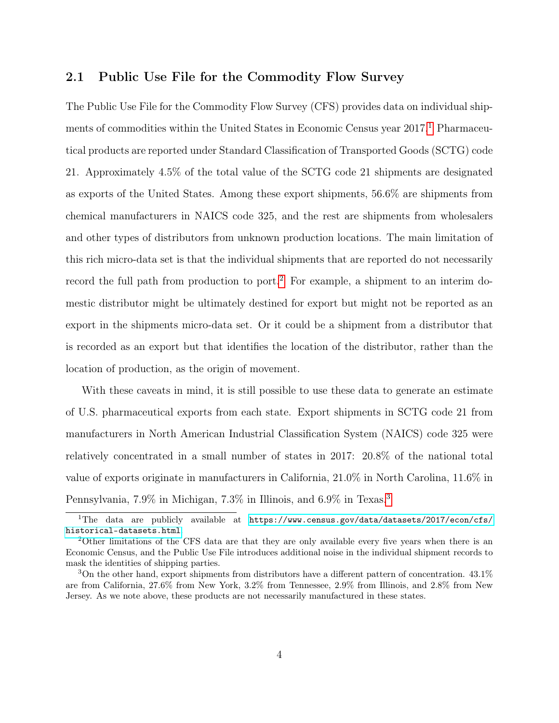#### 2.1 Public Use File for the Commodity Flow Survey

The Public Use File for the Commodity Flow Survey (CFS) provides data on individual shipments of commodities within the United States in Economic Census year  $2017$  $2017$  $2017$ .<sup>1</sup> Pharmaceutical products are reported under Standard Classification of Transported Goods (SCTG) code 21. Approximately 4.5% of the total value of the SCTG code 21 shipments are designated as exports of the United States. Among these export shipments, 56.6% are shipments from chemical manufacturers in NAICS code 325, and the rest are shipments from wholesalers and other types of distributors from unknown production locations. The main limitation of this rich micro-data set is that the individual shipments that are reported do not necessarily record the full path from production to port.<sup>[2](#page-5-1)</sup> For example, a shipment to an interim domestic distributor might be ultimately destined for export but might not be reported as an export in the shipments micro-data set. Or it could be a shipment from a distributor that is recorded as an export but that identifies the location of the distributor, rather than the location of production, as the origin of movement.

With these caveats in mind, it is still possible to use these data to generate an estimate of U.S. pharmaceutical exports from each state. Export shipments in SCTG code 21 from manufacturers in North American Industrial Classification System (NAICS) code 325 were relatively concentrated in a small number of states in 2017: 20.8% of the national total value of exports originate in manufacturers in California, 21.0% in North Carolina, 11.6% in Pennsylvania, 7.9% in Michigan, 7.3% in Illinois, and 6.9% in Texas.[3](#page-5-2)

<span id="page-5-0"></span><sup>&</sup>lt;sup>1</sup>The data are publicly available at [https://www.census.gov/data/datasets/2017/econ/cfs/](https://www.census.gov/data/datasets/2017/econ/cfs/historical-datasets.html) [historical-datasets.html](https://www.census.gov/data/datasets/2017/econ/cfs/historical-datasets.html).

<span id="page-5-1"></span><sup>2</sup>Other limitations of the CFS data are that they are only available every five years when there is an Economic Census, and the Public Use File introduces additional noise in the individual shipment records to mask the identities of shipping parties.

<span id="page-5-2"></span> $3$ On the other hand, export shipments from distributors have a different pattern of concentration.  $43.1\%$ are from California, 27.6% from New York, 3.2% from Tennessee, 2.9% from Illinois, and 2.8% from New Jersey. As we note above, these products are not necessarily manufactured in these states.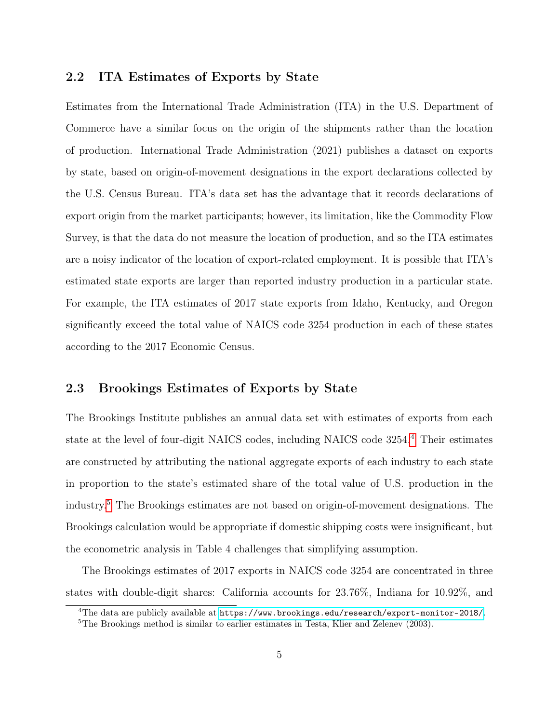#### 2.2 ITA Estimates of Exports by State

Estimates from the International Trade Administration (ITA) in the U.S. Department of Commerce have a similar focus on the origin of the shipments rather than the location of production. International Trade Administration (2021) publishes a dataset on exports by state, based on origin-of-movement designations in the export declarations collected by the U.S. Census Bureau. ITA's data set has the advantage that it records declarations of export origin from the market participants; however, its limitation, like the Commodity Flow Survey, is that the data do not measure the location of production, and so the ITA estimates are a noisy indicator of the location of export-related employment. It is possible that ITA's estimated state exports are larger than reported industry production in a particular state. For example, the ITA estimates of 2017 state exports from Idaho, Kentucky, and Oregon significantly exceed the total value of NAICS code 3254 production in each of these states according to the 2017 Economic Census.

#### 2.3 Brookings Estimates of Exports by State

The Brookings Institute publishes an annual data set with estimates of exports from each state at the level of four-digit NAICS codes, including NAICS code 3254.[4](#page-6-0) Their estimates are constructed by attributing the national aggregate exports of each industry to each state in proportion to the state's estimated share of the total value of U.S. production in the industry.[5](#page-6-1) The Brookings estimates are not based on origin-of-movement designations. The Brookings calculation would be appropriate if domestic shipping costs were insignificant, but the econometric analysis in Table 4 challenges that simplifying assumption.

The Brookings estimates of 2017 exports in NAICS code 3254 are concentrated in three states with double-digit shares: California accounts for 23.76%, Indiana for 10.92%, and

<span id="page-6-0"></span> $4$ The data are publicly available at <https://www.brookings.edu/research/export-monitor-2018/>.

<span id="page-6-1"></span><sup>&</sup>lt;sup>5</sup>The Brookings method is similar to earlier estimates in Testa, Klier and Zelenev (2003).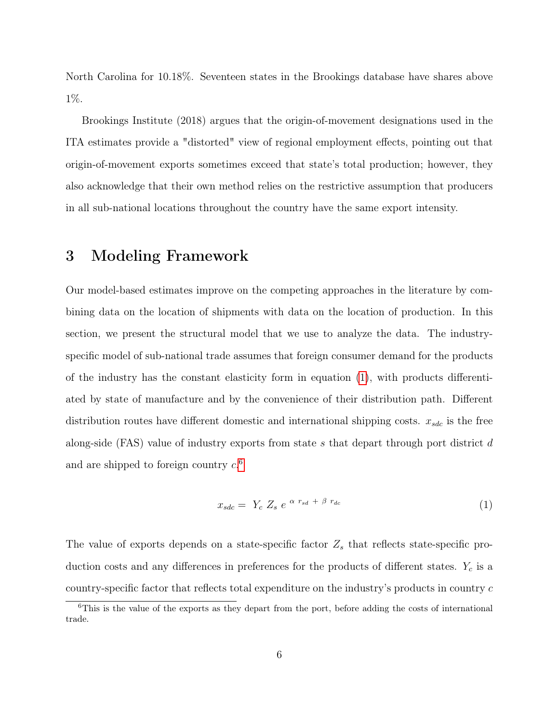North Carolina for 10.18%. Seventeen states in the Brookings database have shares above 1%.

Brookings Institute (2018) argues that the origin-of-movement designations used in the ITA estimates provide a "distorted" view of regional employment effects, pointing out that origin-of-movement exports sometimes exceed that state's total production; however, they also acknowledge that their own method relies on the restrictive assumption that producers in all sub-national locations throughout the country have the same export intensity.

## <span id="page-7-0"></span>3 Modeling Framework

Our model-based estimates improve on the competing approaches in the literature by combining data on the location of shipments with data on the location of production. In this section, we present the structural model that we use to analyze the data. The industryspecific model of sub-national trade assumes that foreign consumer demand for the products of the industry has the constant elasticity form in equation [\(1\)](#page-7-1), with products differentiated by state of manufacture and by the convenience of their distribution path. Different distribution routes have different domestic and international shipping costs.  $x_{sdc}$  is the free along-side (FAS) value of industry exports from state s that depart through port district d and are shipped to foreign country  $c^{6}$  $c^{6}$  $c^{6}$ .

<span id="page-7-1"></span>
$$
x_{sdc} = Y_c Z_s e^{\alpha r_{sd} + \beta r_{dc}}
$$
\n
$$
\tag{1}
$$

The value of exports depends on a state-specific factor  $Z_s$  that reflects state-specific production costs and any differences in preferences for the products of different states.  $Y_c$  is a country-specific factor that reflects total expenditure on the industry's products in country c

<span id="page-7-2"></span><sup>6</sup>This is the value of the exports as they depart from the port, before adding the costs of international trade.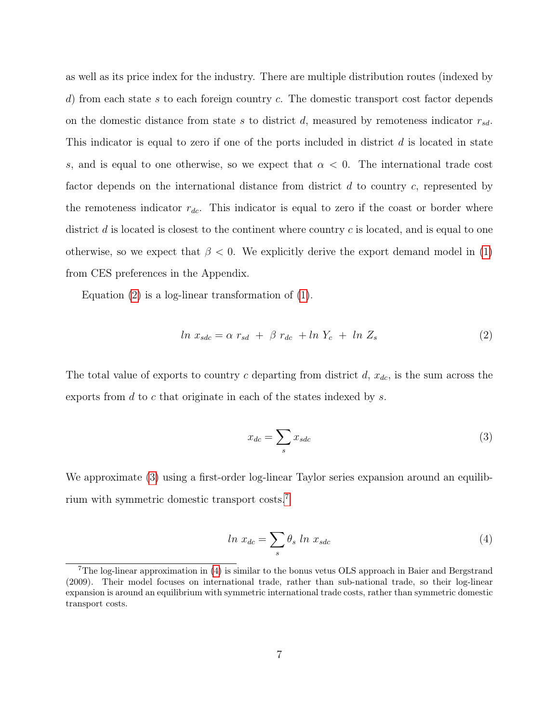as well as its price index for the industry. There are multiple distribution routes (indexed by d) from each state s to each foreign country c. The domestic transport cost factor depends on the domestic distance from state s to district d, measured by remoteness indicator  $r_{sd}$ . This indicator is equal to zero if one of the ports included in district  $d$  is located in state s, and is equal to one otherwise, so we expect that  $\alpha < 0$ . The international trade cost factor depends on the international distance from district  $d$  to country  $c$ , represented by the remoteness indicator  $r_{dc}$ . This indicator is equal to zero if the coast or border where district  $d$  is located is closest to the continent where country  $c$  is located, and is equal to one otherwise, so we expect that  $\beta < 0$ . We explicitly derive the export demand model in [\(1\)](#page-7-1) from CES preferences in the Appendix.

Equation  $(2)$  is a log-linear transformation of  $(1)$ .

<span id="page-8-0"></span>
$$
ln x_{sdc} = \alpha r_{sd} + \beta r_{dc} + ln Y_c + ln Z_s \tag{2}
$$

The total value of exports to country c departing from district  $d$ ,  $x_{dc}$ , is the sum across the exports from d to c that originate in each of the states indexed by s.

<span id="page-8-1"></span>
$$
x_{dc} = \sum_{s} x_{sdc} \tag{3}
$$

We approximate [\(3\)](#page-8-1) using a first-order log-linear Taylor series expansion around an equilibrium with symmetric domestic transport costs.[7](#page-8-2)

<span id="page-8-3"></span>
$$
ln x_{dc} = \sum_{s} \theta_{s} ln x_{sdc} \tag{4}
$$

<span id="page-8-2"></span><sup>7</sup>The log-linear approximation in [\(4\)](#page-8-3) is similar to the bonus vetus OLS approach in Baier and Bergstrand (2009). Their model focuses on international trade, rather than sub-national trade, so their log-linear expansion is around an equilibrium with symmetric international trade costs, rather than symmetric domestic transport costs.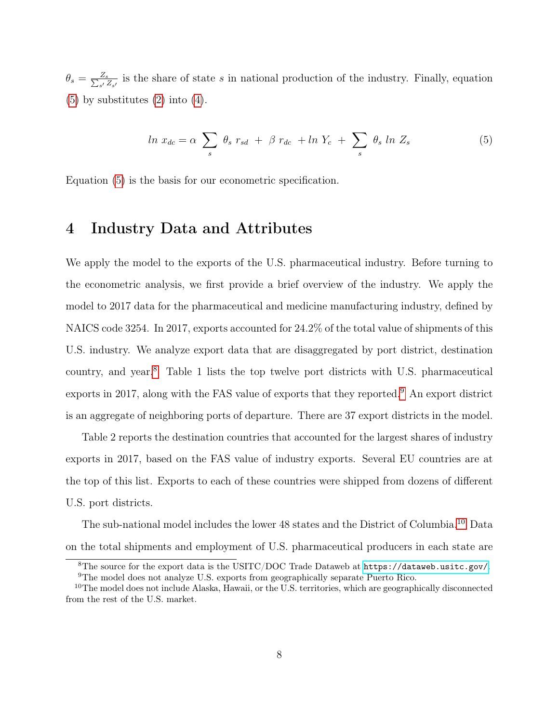$\theta_s = \frac{Z_s}{\sum_{s'}\hat{Z}}$  $\frac{Z_s}{s'}\frac{Z_s}{Z_{s'}}$  is the share of state s in national production of the industry. Finally, equation  $(5)$  by substitutes  $(2)$  into  $(4)$ .

<span id="page-9-1"></span>
$$
\ln x_{dc} = \alpha \sum_{s} \theta_{s} r_{sd} + \beta r_{dc} + \ln Y_c + \sum_{s} \theta_{s} \ln Z_s \tag{5}
$$

Equation [\(5\)](#page-9-1) is the basis for our econometric specification.

#### <span id="page-9-0"></span>4 Industry Data and Attributes

We apply the model to the exports of the U.S. pharmaceutical industry. Before turning to the econometric analysis, we first provide a brief overview of the industry. We apply the model to 2017 data for the pharmaceutical and medicine manufacturing industry, defined by NAICS code 3254. In 2017, exports accounted for 24.2% of the total value of shipments of this U.S. industry. We analyze export data that are disaggregated by port district, destination country, and year.[8](#page-9-2) Table 1 lists the top twelve port districts with U.S. pharmaceutical exports in 2017, along with the FAS value of exports that they reported.[9](#page-9-3) An export district is an aggregate of neighboring ports of departure. There are 37 export districts in the model.

Table 2 reports the destination countries that accounted for the largest shares of industry exports in 2017, based on the FAS value of industry exports. Several EU countries are at the top of this list. Exports to each of these countries were shipped from dozens of different U.S. port districts.

The sub-national model includes the lower 48 states and the District of Columbia.<sup>[10](#page-9-4)</sup> Data on the total shipments and employment of U.S. pharmaceutical producers in each state are

<span id="page-9-2"></span><sup>8</sup>The source for the export data is the USITC/DOC Trade Dataweb at <https://dataweb.usitc.gov/>.

<span id="page-9-4"></span><span id="page-9-3"></span><sup>9</sup>The model does not analyze U.S. exports from geographically separate Puerto Rico.

 $10$ The model does not include Alaska, Hawaii, or the U.S. territories, which are geographically disconnected from the rest of the U.S. market.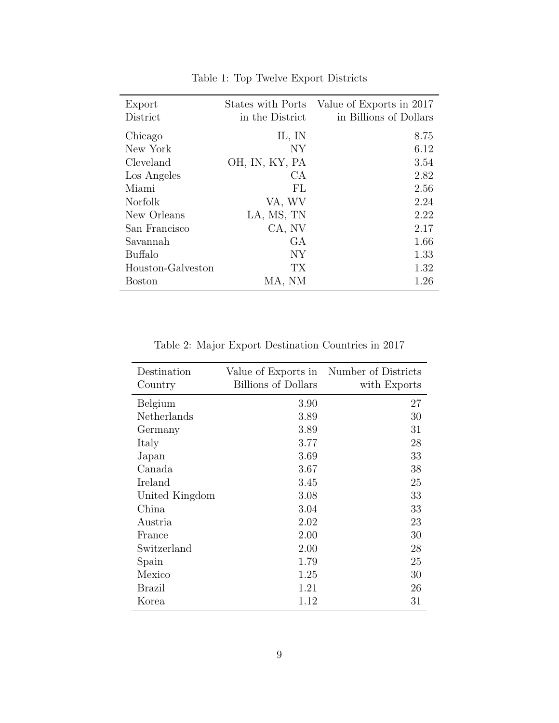| Export            |                 | States with Ports Value of Exports in 2017 |
|-------------------|-----------------|--------------------------------------------|
| District          | in the District | in Billions of Dollars                     |
| Chicago           | IL, IN          | 8.75                                       |
| New York          | NY              | 6.12                                       |
| Cleveland         | OH, IN, KY, PA  | 3.54                                       |
| Los Angeles       | CA              | 2.82                                       |
| Miami             | FL              | 2.56                                       |
| Norfolk           | VA, WV          | 2.24                                       |
| New Orleans       | LA, MS, TN      | 2.22                                       |
| San Francisco     | CA, NV          | 2.17                                       |
| Savannah          | GА              | 1.66                                       |
| <b>Buffalo</b>    | NY              | 1.33                                       |
| Houston-Galveston | <b>TX</b>       | 1.32                                       |
| Boston            | MA, NM          | 1.26                                       |

Table 1: Top Twelve Export Districts

Table 2: Major Export Destination Countries in 2017

| Destination    | Value of Exports in | Number of Districts |
|----------------|---------------------|---------------------|
| Country        | Billions of Dollars | with Exports        |
| Belgium        | 3.90                | 27                  |
| Netherlands    | 3.89                | 30                  |
| Germany        | 3.89                | 31                  |
| Italy          | 3.77                | 28                  |
| Japan          | 3.69                | 33                  |
| Canada         | 3.67                | 38                  |
| Ireland        | 3.45                | 25                  |
| United Kingdom | 3.08                | 33                  |
| China          | 3.04                | 33                  |
| Austria        | 2.02                | 23                  |
| France         | 2.00                | 30                  |
| Switzerland    | 2.00                | 28                  |
| Spain          | 1.79                | 25                  |
| Mexico         | 1.25                | 30                  |
| <b>Brazil</b>  | 1.21                | 26                  |
| Korea          | 1.12                | 31                  |
|                |                     |                     |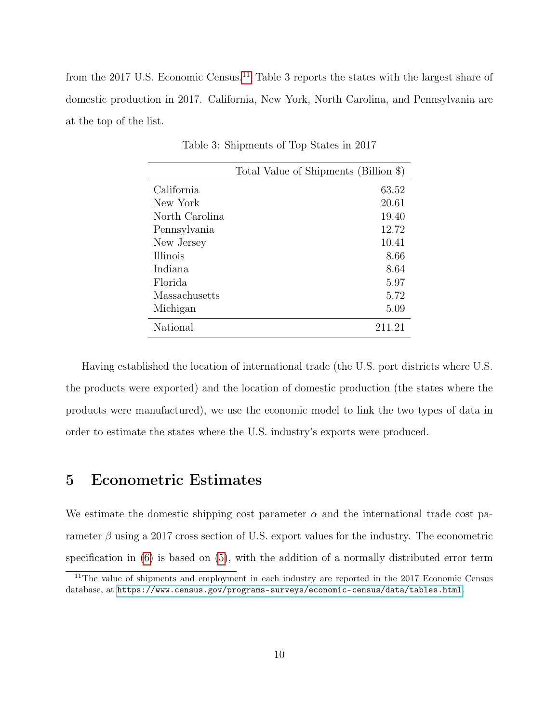from the 2017 U.S. Economic Census.<sup>[11](#page-11-1)</sup> Table 3 reports the states with the largest share of domestic production in 2017. California, New York, North Carolina, and Pennsylvania are at the top of the list.

|                | Total Value of Shipments (Billion \$) |
|----------------|---------------------------------------|
| California     | 63.52                                 |
| New York       | 20.61                                 |
| North Carolina | 19.40                                 |
| Pennsylvania   | 12.72                                 |
| New Jersey     | 10.41                                 |
| Illinois       | 8.66                                  |
| Indiana        | 8.64                                  |
| Florida        | 5.97                                  |
| Massachusetts  | 5.72                                  |
| Michigan       | 5.09                                  |
| National       | 211.21                                |

Table 3: Shipments of Top States in 2017

Having established the location of international trade (the U.S. port districts where U.S. the products were exported) and the location of domestic production (the states where the products were manufactured), we use the economic model to link the two types of data in order to estimate the states where the U.S. industry's exports were produced.

## <span id="page-11-0"></span>5 Econometric Estimates

We estimate the domestic shipping cost parameter  $\alpha$  and the international trade cost parameter  $\beta$  using a 2017 cross section of U.S. export values for the industry. The econometric specification in [\(6\)](#page-12-0) is based on [\(5\)](#page-9-1), with the addition of a normally distributed error term

<span id="page-11-1"></span><sup>&</sup>lt;sup>11</sup>The value of shipments and employment in each industry are reported in the 2017 Economic Census database, at <https://www.census.gov/programs-surveys/economic-census/data/tables.html>.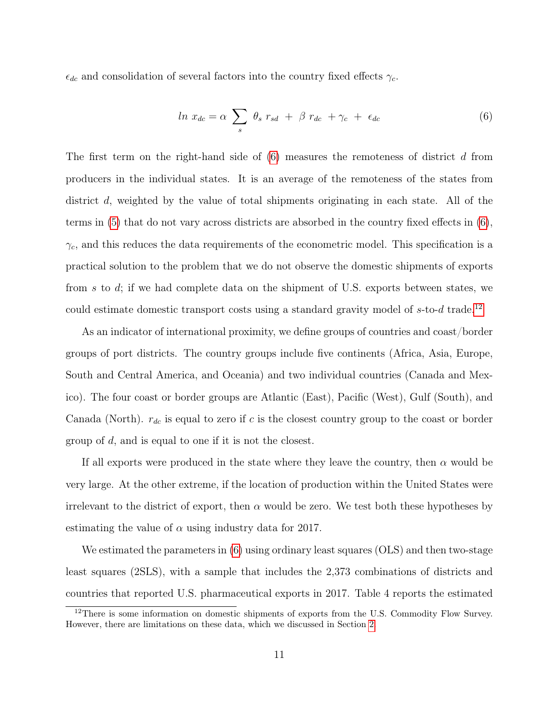$\epsilon_{dc}$  and consolidation of several factors into the country fixed effects  $\gamma_c$ .

<span id="page-12-0"></span>
$$
ln x_{dc} = \alpha \sum_{s} \theta_{s} r_{sd} + \beta r_{dc} + \gamma_{c} + \epsilon_{dc}
$$
 (6)

The first term on the right-hand side of  $(6)$  measures the remoteness of district d from producers in the individual states. It is an average of the remoteness of the states from district d, weighted by the value of total shipments originating in each state. All of the terms in [\(5\)](#page-9-1) that do not vary across districts are absorbed in the country fixed effects in [\(6\)](#page-12-0),  $\gamma_c$ , and this reduces the data requirements of the econometric model. This specification is a practical solution to the problem that we do not observe the domestic shipments of exports from s to d; if we had complete data on the shipment of U.S. exports between states, we could estimate domestic transport costs using a standard gravity model of  $s$ -to- $d$  trade.<sup>[12](#page-12-1)</sup>

As an indicator of international proximity, we define groups of countries and coast/border groups of port districts. The country groups include five continents (Africa, Asia, Europe, South and Central America, and Oceania) and two individual countries (Canada and Mexico). The four coast or border groups are Atlantic (East), Pacific (West), Gulf (South), and Canada (North).  $r_{dc}$  is equal to zero if c is the closest country group to the coast or border group of d, and is equal to one if it is not the closest.

If all exports were produced in the state where they leave the country, then  $\alpha$  would be very large. At the other extreme, if the location of production within the United States were irrelevant to the district of export, then  $\alpha$  would be zero. We test both these hypotheses by estimating the value of  $\alpha$  using industry data for 2017.

We estimated the parameters in [\(6\)](#page-12-0) using ordinary least squares (OLS) and then two-stage least squares (2SLS), with a sample that includes the 2,373 combinations of districts and countries that reported U.S. pharmaceutical exports in 2017. Table 4 reports the estimated

<span id="page-12-1"></span><sup>&</sup>lt;sup>12</sup>There is some information on domestic shipments of exports from the U.S. Commodity Flow Survey. However, there are limitations on these data, which we discussed in Section [2.](#page-4-0)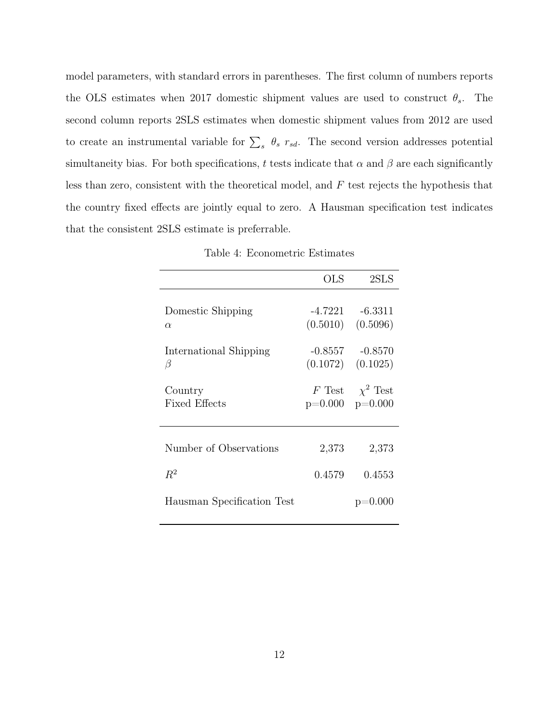model parameters, with standard errors in parentheses. The first column of numbers reports the OLS estimates when 2017 domestic shipment values are used to construct  $\theta_s$ . The second column reports 2SLS estimates when domestic shipment values from 2012 are used to create an instrumental variable for  $\sum_s \theta_s r_{sd}$ . The second version addresses potential simultaneity bias. For both specifications, t tests indicate that  $\alpha$  and  $\beta$  are each significantly less than zero, consistent with the theoretical model, and  $F$  test rejects the hypothesis that the country fixed effects are jointly equal to zero. A Hausman specification test indicates that the consistent 2SLS estimate is preferrable.

Table 4: Econometric Estimates

|                            | <b>OLS</b> | 2SLS                  |
|----------------------------|------------|-----------------------|
|                            |            |                       |
| Domestic Shipping          | -4.7221    | $-6.3311$             |
| $\alpha$                   |            | $(0.5010)$ $(0.5096)$ |
| International Shipping     | -0.8557    | $-0.8570$             |
| β                          |            | $(0.1072)$ $(0.1025)$ |
| Country                    | $F$ Test   | $\chi^2$ Test         |
| Fixed Effects              | $p=0.000$  | $p=0.000$             |
|                            |            |                       |
| Number of Observations     | 2,373      | 2,373                 |
| $R^2$                      | 0.4579     | 0.4553                |
| Hausman Specification Test |            | $p=0.000$             |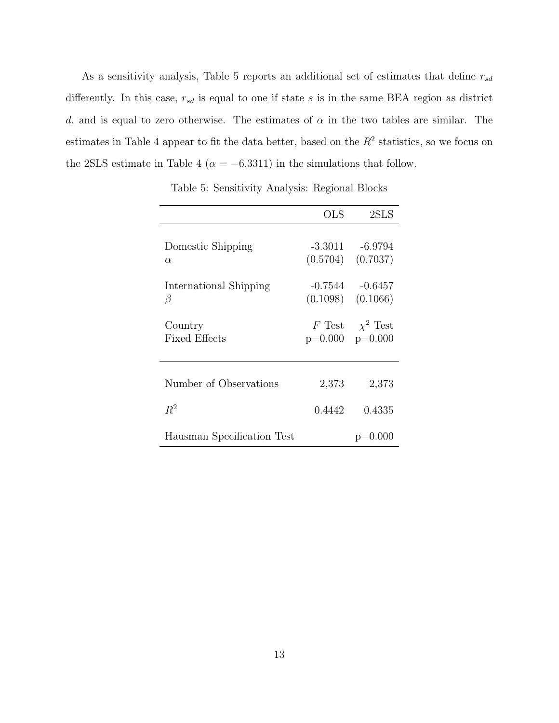As a sensitivity analysis, Table 5 reports an additional set of estimates that define  $r_{sd}$ differently. In this case,  $r_{sd}$  is equal to one if state s is in the same BEA region as district d, and is equal to zero otherwise. The estimates of  $\alpha$  in the two tables are similar. The estimates in Table 4 appear to fit the data better, based on the  $R<sup>2</sup>$  statistics, so we focus on the 2SLS estimate in Table 4 ( $\alpha = -6.3311$ ) in the simulations that follow.

|                                 | OLS       | 2SLS                               |
|---------------------------------|-----------|------------------------------------|
| Domestic Shipping<br>$\alpha$   | -3.3011   | $-6.9794$<br>$(0.5704)$ $(0.7037)$ |
| International Shipping<br>β     | -0.7544   | $-0.6457$<br>$(0.1098)$ $(0.1066)$ |
| Country<br><b>Fixed Effects</b> | $p=0.000$ | F Test $\chi^2$ Test<br>$p=0.000$  |
| Number of Observations          | 2,373     | 2,373                              |
| $R^2$                           | 0.4442    | 0.4335                             |
| Hausman Specification Test      |           | $p=0.000$                          |

Table 5: Sensitivity Analysis: Regional Blocks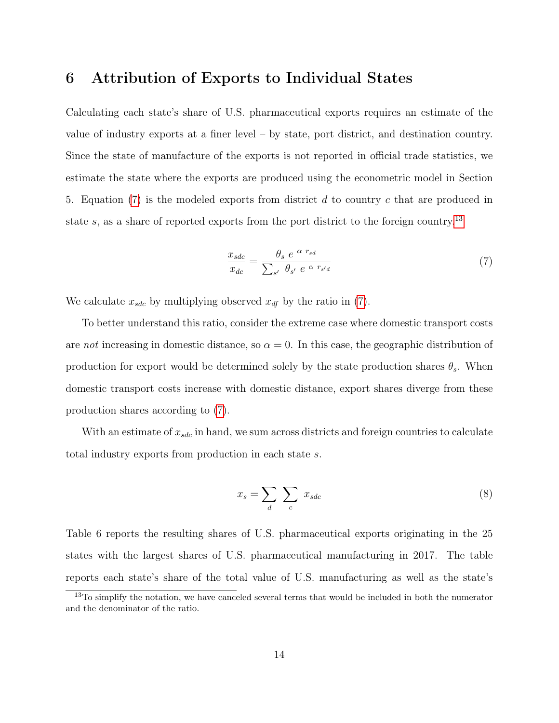#### <span id="page-15-0"></span>6 Attribution of Exports to Individual States

Calculating each state's share of U.S. pharmaceutical exports requires an estimate of the value of industry exports at a finer level – by state, port district, and destination country. Since the state of manufacture of the exports is not reported in official trade statistics, we estimate the state where the exports are produced using the econometric model in Section 5. Equation [\(7\)](#page-15-1) is the modeled exports from district  $d$  to country  $c$  that are produced in state s, as a share of reported exports from the port district to the foreign country.<sup>[13](#page-15-2)</sup>

<span id="page-15-1"></span>
$$
\frac{x_{sdc}}{x_{dc}} = \frac{\theta_s e^{\alpha r_{sd}}}{\sum_{s'} \theta_{s'} e^{\alpha r_{s'd}}}
$$
\n(7)

We calculate  $x_{sdc}$  by multiplying observed  $x_{df}$  by the ratio in [\(7\)](#page-15-1).

To better understand this ratio, consider the extreme case where domestic transport costs are not increasing in domestic distance, so  $\alpha = 0$ . In this case, the geographic distribution of production for export would be determined solely by the state production shares  $\theta_s$ . When domestic transport costs increase with domestic distance, export shares diverge from these production shares according to [\(7\)](#page-15-1).

With an estimate of  $x_{sdc}$  in hand, we sum across districts and foreign countries to calculate total industry exports from production in each state s.

$$
x_s = \sum_d \sum_c x_{sdc} \tag{8}
$$

Table 6 reports the resulting shares of U.S. pharmaceutical exports originating in the 25 states with the largest shares of U.S. pharmaceutical manufacturing in 2017. The table reports each state's share of the total value of U.S. manufacturing as well as the state's

<span id="page-15-2"></span><sup>&</sup>lt;sup>13</sup>To simplify the notation, we have canceled several terms that would be included in both the numerator and the denominator of the ratio.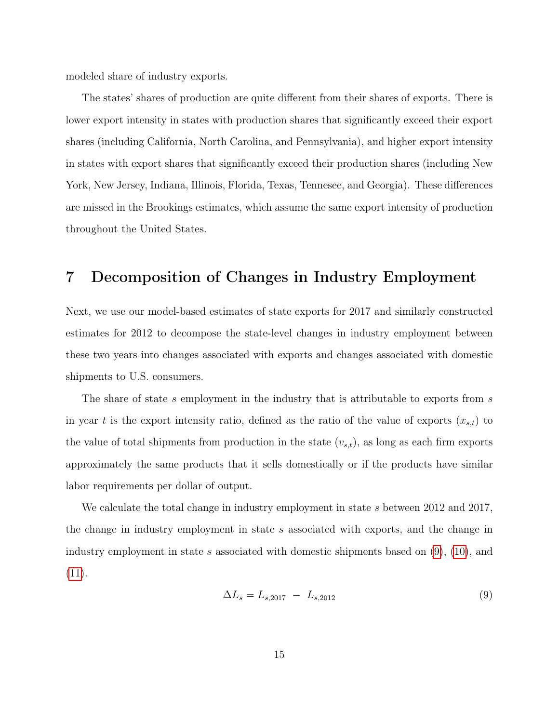modeled share of industry exports.

The states' shares of production are quite different from their shares of exports. There is lower export intensity in states with production shares that significantly exceed their export shares (including California, North Carolina, and Pennsylvania), and higher export intensity in states with export shares that significantly exceed their production shares (including New York, New Jersey, Indiana, Illinois, Florida, Texas, Tennesee, and Georgia). These differences are missed in the Brookings estimates, which assume the same export intensity of production throughout the United States.

## <span id="page-16-0"></span>7 Decomposition of Changes in Industry Employment

Next, we use our model-based estimates of state exports for 2017 and similarly constructed estimates for 2012 to decompose the state-level changes in industry employment between these two years into changes associated with exports and changes associated with domestic shipments to U.S. consumers.

The share of state s employment in the industry that is attributable to exports from s in year t is the export intensity ratio, defined as the ratio of the value of exports  $(x_{s,t})$  to the value of total shipments from production in the state  $(v_{s,t})$ , as long as each firm exports approximately the same products that it sells domestically or if the products have similar labor requirements per dollar of output.

We calculate the total change in industry employment in state s between 2012 and 2017, the change in industry employment in state s associated with exports, and the change in industry employment in state s associated with domestic shipments based on  $(9)$ ,  $(10)$ , and [\(11\)](#page-18-2).

<span id="page-16-1"></span>
$$
\Delta L_s = L_{s,2017} - L_{s,2012} \tag{9}
$$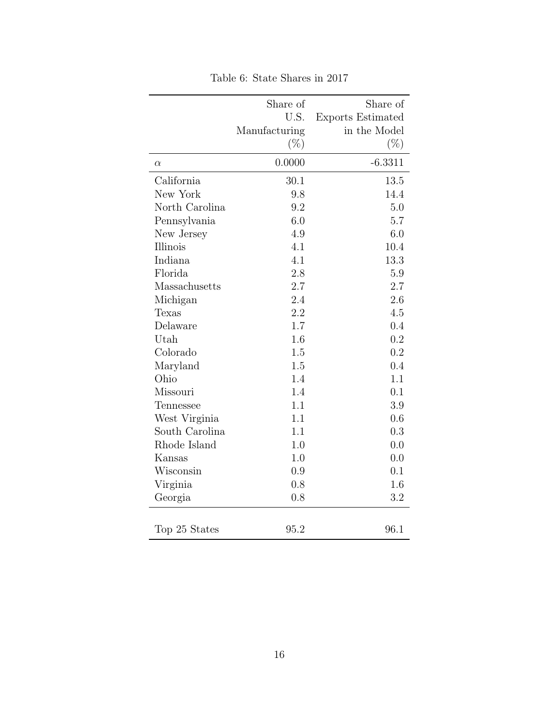|                | Share of      | Share of                 |
|----------------|---------------|--------------------------|
|                | U.S.          | <b>Exports Estimated</b> |
|                | Manufacturing | in the Model             |
|                | $(\%)$        | $(\% )$                  |
| $\alpha$       | 0.0000        | $-6.3311$                |
| California     | 30.1          | 13.5                     |
| New York       | 9.8           | 14.4                     |
| North Carolina | 9.2           | 5.0                      |
| Pennsylvania   | 6.0           | 5.7                      |
| New Jersey     | 4.9           | 6.0                      |
| Illinois       | 4.1           | 10.4                     |
| Indiana        | 4.1           | 13.3                     |
| Florida        | 2.8           | 5.9                      |
| Massachusetts  | 2.7           | 2.7                      |
| Michigan       | 2.4           | 2.6                      |
| Texas          | 2.2           | 4.5                      |
| Delaware       | 1.7           | 0.4                      |
| Utah           | 1.6           | 0.2                      |
| Colorado       | 1.5           | 0.2                      |
| Maryland       | 1.5           | 0.4                      |
| Ohio           | 1.4           | 1.1                      |
| Missouri       | 1.4           | 0.1                      |
| Tennessee      | 1.1           | 3.9                      |
| West Virginia  | 1.1           | 0.6                      |
| South Carolina | 1.1           | 0.3                      |
| Rhode Island   | 1.0           | 0.0                      |
| Kansas         | 1.0           | 0.0                      |
| Wisconsin      | 0.9           | 0.1                      |
| Virginia       | 0.8           | 1.6                      |
| Georgia        | 0.8           | 3.2                      |
|                |               |                          |
| Top 25 States  | 95.2          | 96.1                     |

Table 6: State Shares in 2017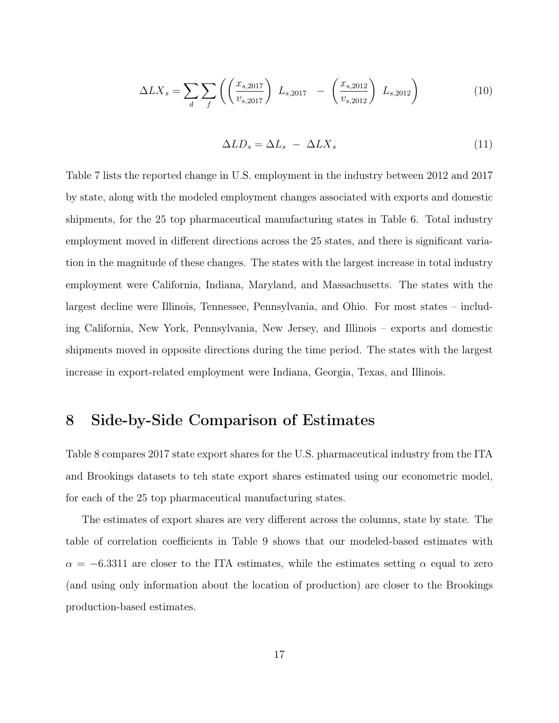<span id="page-18-1"></span>
$$
\Delta L X_s = \sum_{d} \sum_{f} \left( \left( \frac{x_{s,2017}}{v_{s,2017}} \right) L_{s,2017} - \left( \frac{x_{s,2012}}{v_{s,2012}} \right) L_{s,2012} \right) \tag{10}
$$

<span id="page-18-2"></span>
$$
\Delta LD_s = \Delta L_s - \Delta L X_s \tag{11}
$$

Table 7 lists the reported change in U.S. employment in the industry between 2012 and 2017 by state, along with the modeled employment changes associated with exports and domestic shipments, for the 25 top pharmaceutical manufacturing states in Table 6. Total industry employment moved in different directions across the 25 states, and there is significant variation in the magnitude of these changes. The states with the largest increase in total industry employment were California, Indiana, Maryland, and Massachusetts. The states with the largest decline were Illinois, Tennessee, Pennsylvania, and Ohio. For most states – including California, New York, Pennsylvania, New Jersey, and Illinois – exports and domestic shipments moved in opposite directions during the time period. The states with the largest increase in export-related employment were Indiana, Georgia, Texas, and Illinois.

# <span id="page-18-0"></span>8 Side-by-Side Comparison of Estimates

Table 8 compares 2017 state export shares for the U.S. pharmaceutical industry from the ITA and Brookings datasets to teh state export shares estimated using our econometric model, for each of the 25 top pharmaceutical manufacturing states.

The estimates of export shares are very different across the columns, state by state. The table of correlation coefficients in Table 9 shows that our modeled-based estimates with  $\alpha = -6.3311$  are closer to the ITA estimates, while the estimates setting  $\alpha$  equal to zero (and using only information about the location of production) are closer to the Brookings production-based estimates.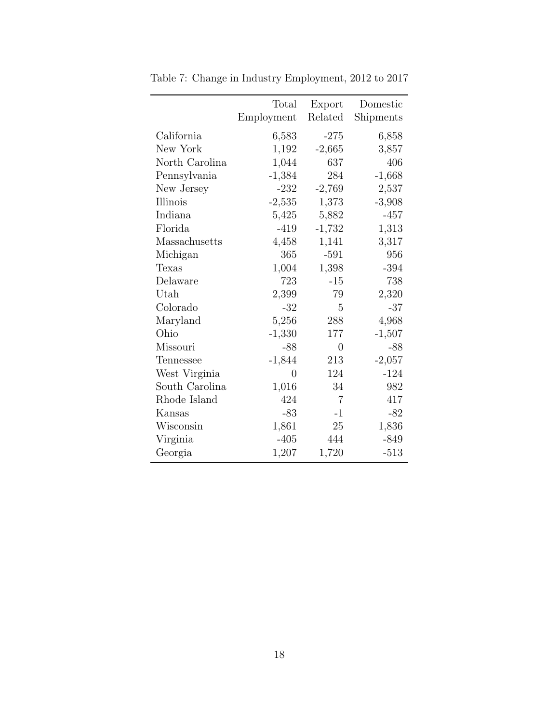|                | Total      | Export         | Domestic  |
|----------------|------------|----------------|-----------|
|                | Employment | Related        | Shipments |
| California     | 6,583      | $-275$         | 6,858     |
| New York       | 1,192      | $-2,665$       | 3,857     |
| North Carolina | 1,044      | 637            | 406       |
| Pennsylvania   | $-1,384$   | 284            | $-1,668$  |
| New Jersey     | $-232$     | $-2,769$       | 2,537     |
| Illinois       | $-2,535$   | 1,373          | $-3,908$  |
| Indiana        | 5,425      | 5,882          | $-457$    |
| Florida        | $-419$     | $-1,732$       | 1,313     |
| Massachusetts  | 4,458      | 1,141          | 3,317     |
| Michigan       | 365        | $-591$         | 956       |
| Texas          | 1,004      | 1,398          | $-394$    |
| Delaware       | 723        | $-15$          | 738       |
| Utah           | 2,399      | 79             | 2,320     |
| Colorado       | $-32$      | 5              | $-37$     |
| Maryland       | 5,256      | 288            | 4,968     |
| Ohio           | $-1,330$   | 177            | $-1,507$  |
| Missouri       | $-88$      | 0              | $-88$     |
| Tennessee      | $-1,844$   | 213            | $-2,057$  |
| West Virginia  | 0          | 124            | $-124$    |
| South Carolina | 1,016      | 34             | 982       |
| Rhode Island   | 424        | $\overline{7}$ | 417       |
| Kansas         | $-83$      | $-1$           | $-82$     |
| Wisconsin      | 1,861      | 25             | 1,836     |
| Virginia       | $-405$     | 444            | $-849$    |
| Georgia        | 1,207      | 1,720          | $-513$    |

Table 7: Change in Industry Employment, 2012 to 2017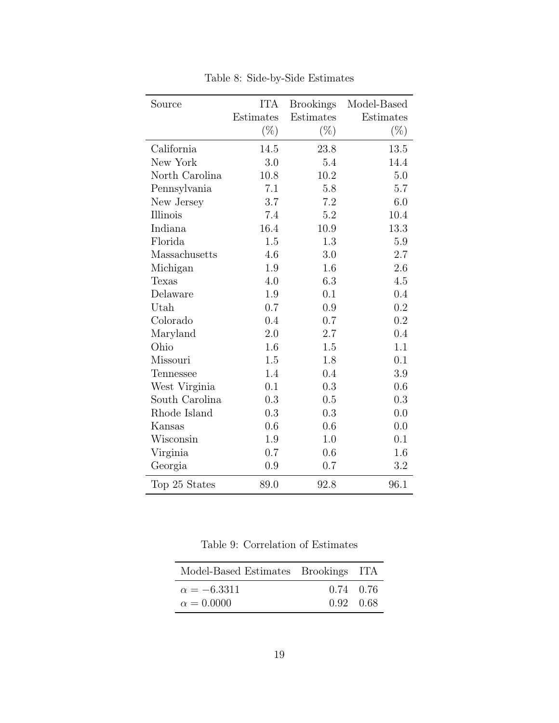| Source         | <b>ITA</b> | <b>Brookings</b> | Model-Based |
|----------------|------------|------------------|-------------|
|                | Estimates  | Estimates        | Estimates   |
|                | $(\%)$     | $(\%)$           | $(\%)$      |
| California     | 14.5       | 23.8             | 13.5        |
| New York       | 3.0        | 5.4              | 14.4        |
| North Carolina | 10.8       | 10.2             | 5.0         |
| Pennsylvania   | 7.1        | 5.8              | 5.7         |
| New Jersey     | 3.7        | 7.2              | 6.0         |
| Illinois       | 7.4        | 5.2              | 10.4        |
| Indiana        | 16.4       | 10.9             | 13.3        |
| Florida        | 1.5        | 1.3              | $5.9\,$     |
| Massachusetts  | 4.6        | 3.0              | 2.7         |
| Michigan       | 1.9        | 1.6              | 2.6         |
| Texas          | 4.0        | 6.3              | 4.5         |
| Delaware       | 1.9        | 0.1              | 0.4         |
| Utah           | 0.7        | 0.9              | 0.2         |
| Colorado       | 0.4        | 0.7              | 0.2         |
| Maryland       | 2.0        | $2.7\,$          | 0.4         |
| Ohio           | 1.6        | 1.5              | 1.1         |
| Missouri       | 1.5        | 1.8              | 0.1         |
| Tennessee      | 1.4        | 0.4              | 3.9         |
| West Virginia  | 0.1        | 0.3              | 0.6         |
| South Carolina | 0.3        | 0.5              | 0.3         |
| Rhode Island   | 0.3        | 0.3              | 0.0         |
| Kansas         | 0.6        | 0.6              | 0.0         |
| Wisconsin      | 1.9        | 1.0              | 0.1         |
| Virginia       | 0.7        | 0.6              | 1.6         |
| Georgia        | 0.9        | 0.7              | 3.2         |
| Top 25 States  | 89.0       | 92.8             | 96.1        |

Table 8: Side-by-Side Estimates

Table 9: Correlation of Estimates

| Model-Based Estimates Brookings ITA |             |  |
|-------------------------------------|-------------|--|
| $\alpha = -6.3311$                  | $0.74$ 0.76 |  |
| $\alpha = 0.0000$                   | 0.92 0.68   |  |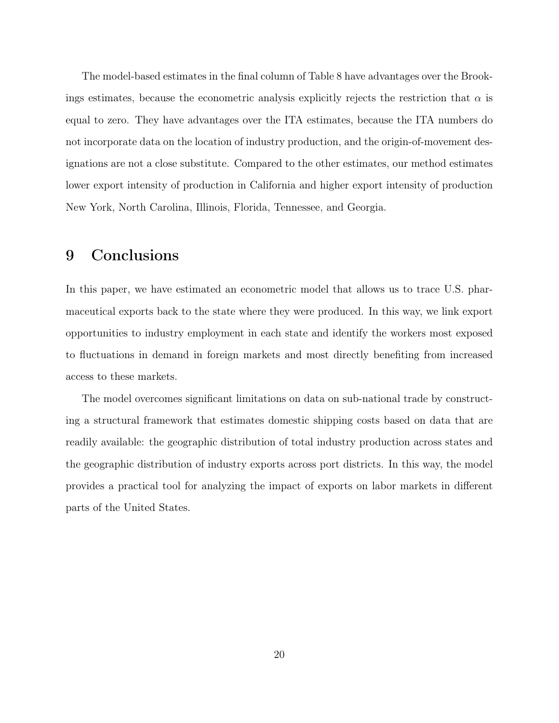The model-based estimates in the final column of Table 8 have advantages over the Brookings estimates, because the econometric analysis explicitly rejects the restriction that  $\alpha$  is equal to zero. They have advantages over the ITA estimates, because the ITA numbers do not incorporate data on the location of industry production, and the origin-of-movement designations are not a close substitute. Compared to the other estimates, our method estimates lower export intensity of production in California and higher export intensity of production New York, North Carolina, Illinois, Florida, Tennessee, and Georgia.

## <span id="page-21-0"></span>9 Conclusions

In this paper, we have estimated an econometric model that allows us to trace U.S. pharmaceutical exports back to the state where they were produced. In this way, we link export opportunities to industry employment in each state and identify the workers most exposed to fluctuations in demand in foreign markets and most directly benefiting from increased access to these markets.

The model overcomes significant limitations on data on sub-national trade by constructing a structural framework that estimates domestic shipping costs based on data that are readily available: the geographic distribution of total industry production across states and the geographic distribution of industry exports across port districts. In this way, the model provides a practical tool for analyzing the impact of exports on labor markets in different parts of the United States.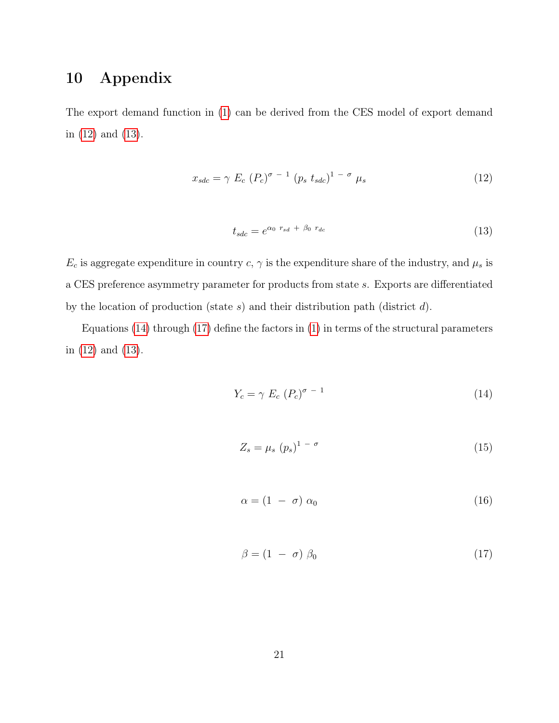# 10 Appendix

The export demand function in [\(1\)](#page-7-1) can be derived from the CES model of export demand in [\(12\)](#page-22-0) and [\(13\)](#page-22-1).

<span id="page-22-0"></span>
$$
x_{sdc} = \gamma E_c \left( P_c \right)^{\sigma - 1} \left( p_s \ t_{sdc} \right)^{1 - \sigma} \mu_s \tag{12}
$$

<span id="page-22-1"></span>
$$
t_{sdc} = e^{\alpha_0 \ r_{sd} + \beta_0 \ r_{dc}} \tag{13}
$$

 $E_c$  is aggregate expenditure in country  $c, \gamma$  is the expenditure share of the industry, and  $\mu_s$  is a CES preference asymmetry parameter for products from state s. Exports are differentiated by the location of production (state  $s$ ) and their distribution path (district  $d$ ).

Equations [\(14\)](#page-22-2) through [\(17\)](#page-22-3) define the factors in [\(1\)](#page-7-1) in terms of the structural parameters in [\(12\)](#page-22-0) and [\(13\)](#page-22-1).

<span id="page-22-2"></span>
$$
Y_c = \gamma \ E_c \ (P_c)^{\sigma - 1} \tag{14}
$$

$$
Z_s = \mu_s \ (p_s)^{1 - \sigma} \tag{15}
$$

$$
\alpha = (1 - \sigma) \alpha_0 \tag{16}
$$

<span id="page-22-3"></span>
$$
\beta = (1 - \sigma) \beta_0 \tag{17}
$$